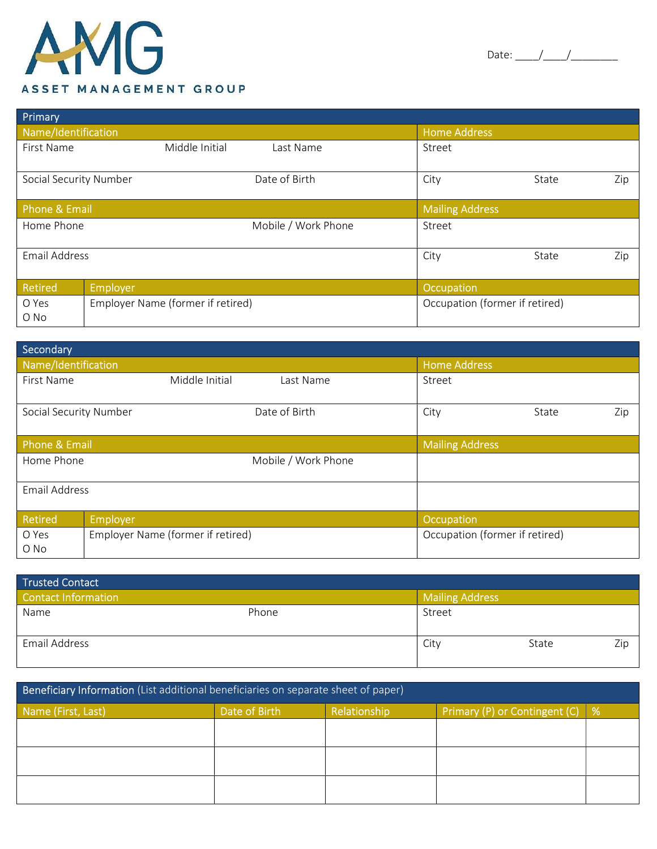|--|--|--|

| Primary                                            |                |                                |                        |       |     |
|----------------------------------------------------|----------------|--------------------------------|------------------------|-------|-----|
| Name/Identification                                |                |                                | <b>Home Address</b>    |       |     |
| First Name                                         | Middle Initial | Last Name                      | Street                 |       |     |
| Social Security Number                             |                | Date of Birth                  | City                   | State | Zip |
| <b>Phone &amp; Email</b>                           |                |                                | <b>Mailing Address</b> |       |     |
| Home Phone                                         |                | Mobile / Work Phone            | Street                 |       |     |
| <b>Email Address</b>                               |                |                                | City                   | State | Zip |
| Retired                                            | Employer       |                                | Occupation             |       |     |
| Employer Name (former if retired)<br>O Yes<br>O No |                | Occupation (former if retired) |                        |       |     |

| Secondary              |                                   |                     |                                |              |
|------------------------|-----------------------------------|---------------------|--------------------------------|--------------|
| Name/Identification    |                                   |                     | <b>Home Address</b>            |              |
| First Name             | Middle Initial                    | Last Name           | Street                         |              |
| Social Security Number |                                   | Date of Birth       | City                           | Zip<br>State |
| Phone & Email          |                                   |                     | <b>Mailing Address</b>         |              |
| Home Phone             |                                   | Mobile / Work Phone |                                |              |
| <b>Email Address</b>   |                                   |                     |                                |              |
| Retired                | <b>Employer</b>                   |                     | Occupation                     |              |
| O Yes<br>O No          | Employer Name (former if retired) |                     | Occupation (former if retired) |              |

| <b>Trusted Contact</b>     |       |                        |       |     |
|----------------------------|-------|------------------------|-------|-----|
| <b>Contact Information</b> |       | <b>Mailing Address</b> |       |     |
| Name                       | Phone | Street                 |       |     |
|                            |       |                        |       |     |
| Email Address              |       | City                   | State | Zip |
|                            |       |                        |       |     |

| Beneficiary Information (List additional beneficiaries on separate sheet of paper) |               |              |                               |   |
|------------------------------------------------------------------------------------|---------------|--------------|-------------------------------|---|
| Name (First, Last)                                                                 | Date of Birth | Relationship | Primary (P) or Contingent (C) | % |
|                                                                                    |               |              |                               |   |
|                                                                                    |               |              |                               |   |
|                                                                                    |               |              |                               |   |
|                                                                                    |               |              |                               |   |
|                                                                                    |               |              |                               |   |
|                                                                                    |               |              |                               |   |